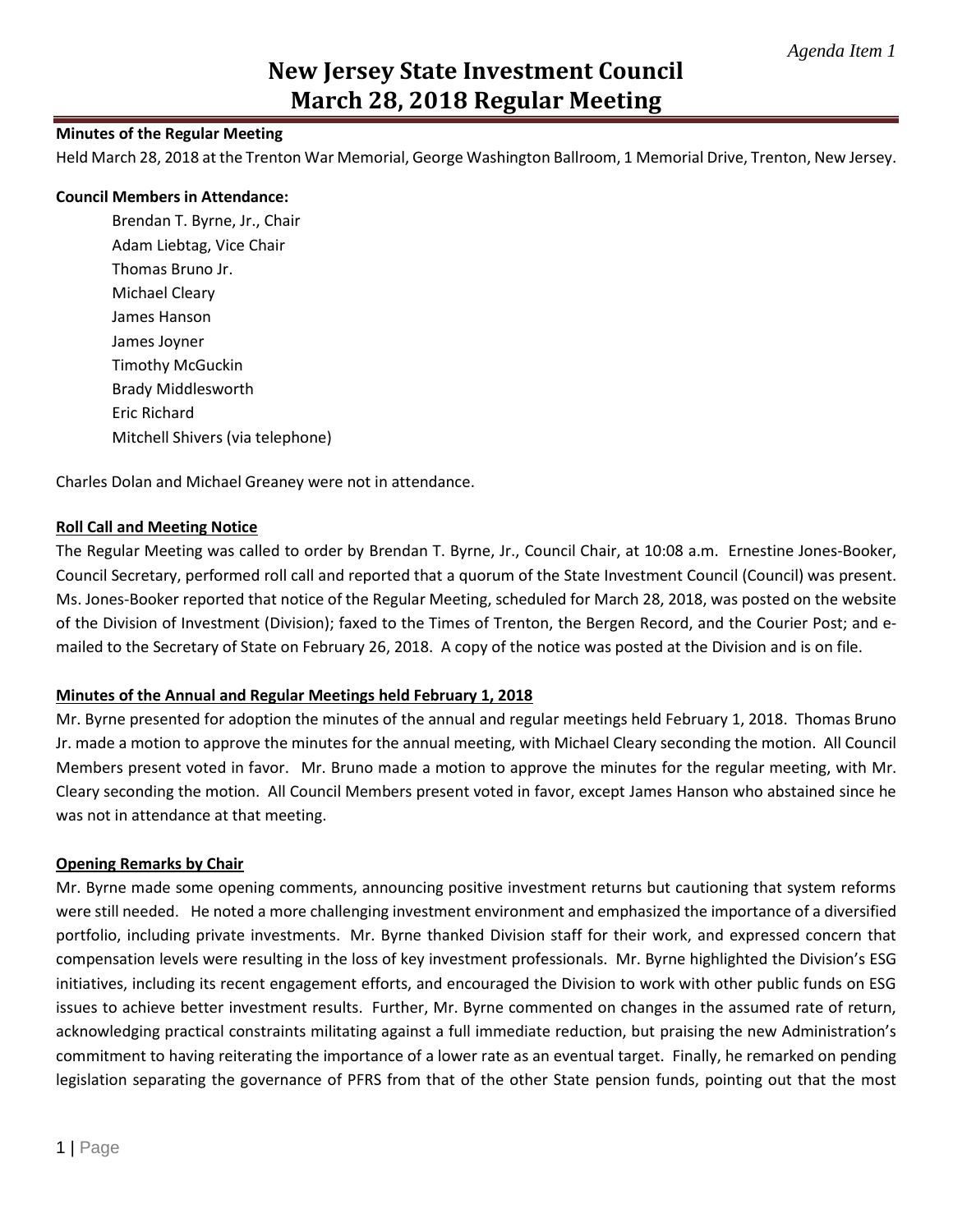#### **Minutes of the Regular Meeting**

Held March 28, 2018 at the Trenton War Memorial, George Washington Ballroom, 1 Memorial Drive, Trenton, New Jersey.

#### **Council Members in Attendance:**

Brendan T. Byrne, Jr., Chair Adam Liebtag, Vice Chair Thomas Bruno Jr. Michael Cleary James Hanson James Joyner Timothy McGuckin Brady Middlesworth Eric Richard Mitchell Shivers (via telephone)

Charles Dolan and Michael Greaney were not in attendance.

#### **Roll Call and Meeting Notice**

The Regular Meeting was called to order by Brendan T. Byrne, Jr., Council Chair, at 10:08 a.m. Ernestine Jones-Booker, Council Secretary, performed roll call and reported that a quorum of the State Investment Council (Council) was present. Ms. Jones-Booker reported that notice of the Regular Meeting, scheduled for March 28, 2018, was posted on the website of the Division of Investment (Division); faxed to the Times of Trenton, the Bergen Record, and the Courier Post; and emailed to the Secretary of State on February 26, 2018. A copy of the notice was posted at the Division and is on file.

#### **Minutes of the Annual and Regular Meetings held February 1, 2018**

Mr. Byrne presented for adoption the minutes of the annual and regular meetings held February 1, 2018. Thomas Bruno Jr. made a motion to approve the minutes for the annual meeting, with Michael Cleary seconding the motion. All Council Members present voted in favor. Mr. Bruno made a motion to approve the minutes for the regular meeting, with Mr. Cleary seconding the motion. All Council Members present voted in favor, except James Hanson who abstained since he was not in attendance at that meeting.

#### **Opening Remarks by Chair**

Mr. Byrne made some opening comments, announcing positive investment returns but cautioning that system reforms were still needed. He noted a more challenging investment environment and emphasized the importance of a diversified portfolio, including private investments. Mr. Byrne thanked Division staff for their work, and expressed concern that compensation levels were resulting in the loss of key investment professionals. Mr. Byrne highlighted the Division's ESG initiatives, including its recent engagement efforts, and encouraged the Division to work with other public funds on ESG issues to achieve better investment results. Further, Mr. Byrne commented on changes in the assumed rate of return, acknowledging practical constraints militating against a full immediate reduction, but praising the new Administration's commitment to having reiterating the importance of a lower rate as an eventual target. Finally, he remarked on pending legislation separating the governance of PFRS from that of the other State pension funds, pointing out that the most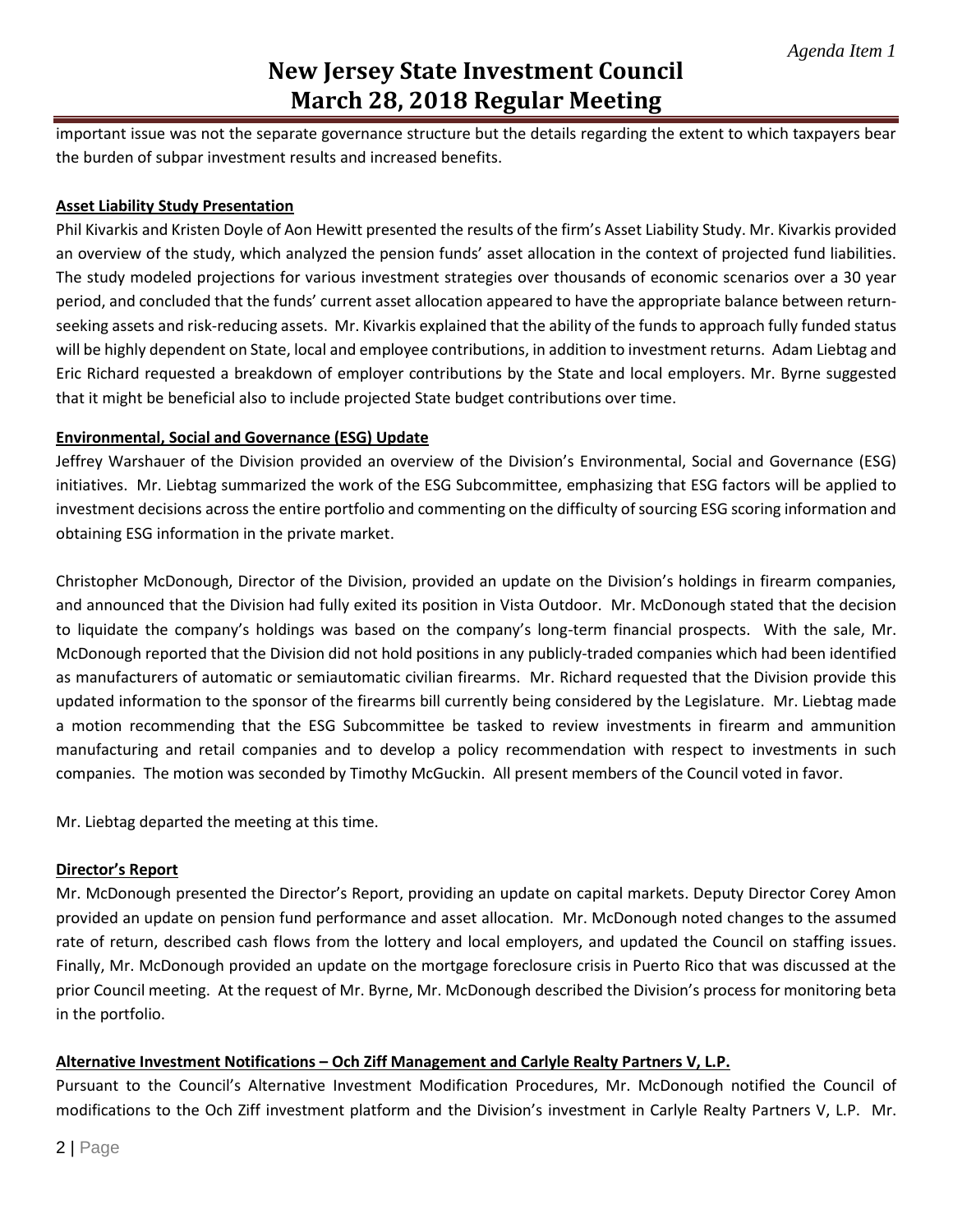important issue was not the separate governance structure but the details regarding the extent to which taxpayers bear the burden of subpar investment results and increased benefits.

#### **Asset Liability Study Presentation**

Phil Kivarkis and Kristen Doyle of Aon Hewitt presented the results of the firm's Asset Liability Study. Mr. Kivarkis provided an overview of the study, which analyzed the pension funds' asset allocation in the context of projected fund liabilities. The study modeled projections for various investment strategies over thousands of economic scenarios over a 30 year period, and concluded that the funds' current asset allocation appeared to have the appropriate balance between returnseeking assets and risk-reducing assets. Mr. Kivarkis explained that the ability of the funds to approach fully funded status will be highly dependent on State, local and employee contributions, in addition to investment returns. Adam Liebtag and Eric Richard requested a breakdown of employer contributions by the State and local employers. Mr. Byrne suggested that it might be beneficial also to include projected State budget contributions over time.

### **Environmental, Social and Governance (ESG) Update**

Jeffrey Warshauer of the Division provided an overview of the Division's Environmental, Social and Governance (ESG) initiatives. Mr. Liebtag summarized the work of the ESG Subcommittee, emphasizing that ESG factors will be applied to investment decisions across the entire portfolio and commenting on the difficulty of sourcing ESG scoring information and obtaining ESG information in the private market.

Christopher McDonough, Director of the Division, provided an update on the Division's holdings in firearm companies, and announced that the Division had fully exited its position in Vista Outdoor. Mr. McDonough stated that the decision to liquidate the company's holdings was based on the company's long-term financial prospects. With the sale, Mr. McDonough reported that the Division did not hold positions in any publicly-traded companies which had been identified as manufacturers of automatic or semiautomatic civilian firearms. Mr. Richard requested that the Division provide this updated information to the sponsor of the firearms bill currently being considered by the Legislature. Mr. Liebtag made a motion recommending that the ESG Subcommittee be tasked to review investments in firearm and ammunition manufacturing and retail companies and to develop a policy recommendation with respect to investments in such companies. The motion was seconded by Timothy McGuckin. All present members of the Council voted in favor.

Mr. Liebtag departed the meeting at this time.

#### **Director's Report**

Mr. McDonough presented the Director's Report, providing an update on capital markets. Deputy Director Corey Amon provided an update on pension fund performance and asset allocation. Mr. McDonough noted changes to the assumed rate of return, described cash flows from the lottery and local employers, and updated the Council on staffing issues. Finally, Mr. McDonough provided an update on the mortgage foreclosure crisis in Puerto Rico that was discussed at the prior Council meeting. At the request of Mr. Byrne, Mr. McDonough described the Division's process for monitoring beta in the portfolio.

## **Alternative Investment Notifications – Och Ziff Management and Carlyle Realty Partners V, L.P.**

Pursuant to the Council's Alternative Investment Modification Procedures, Mr. McDonough notified the Council of modifications to the Och Ziff investment platform and the Division's investment in Carlyle Realty Partners V, L.P. Mr.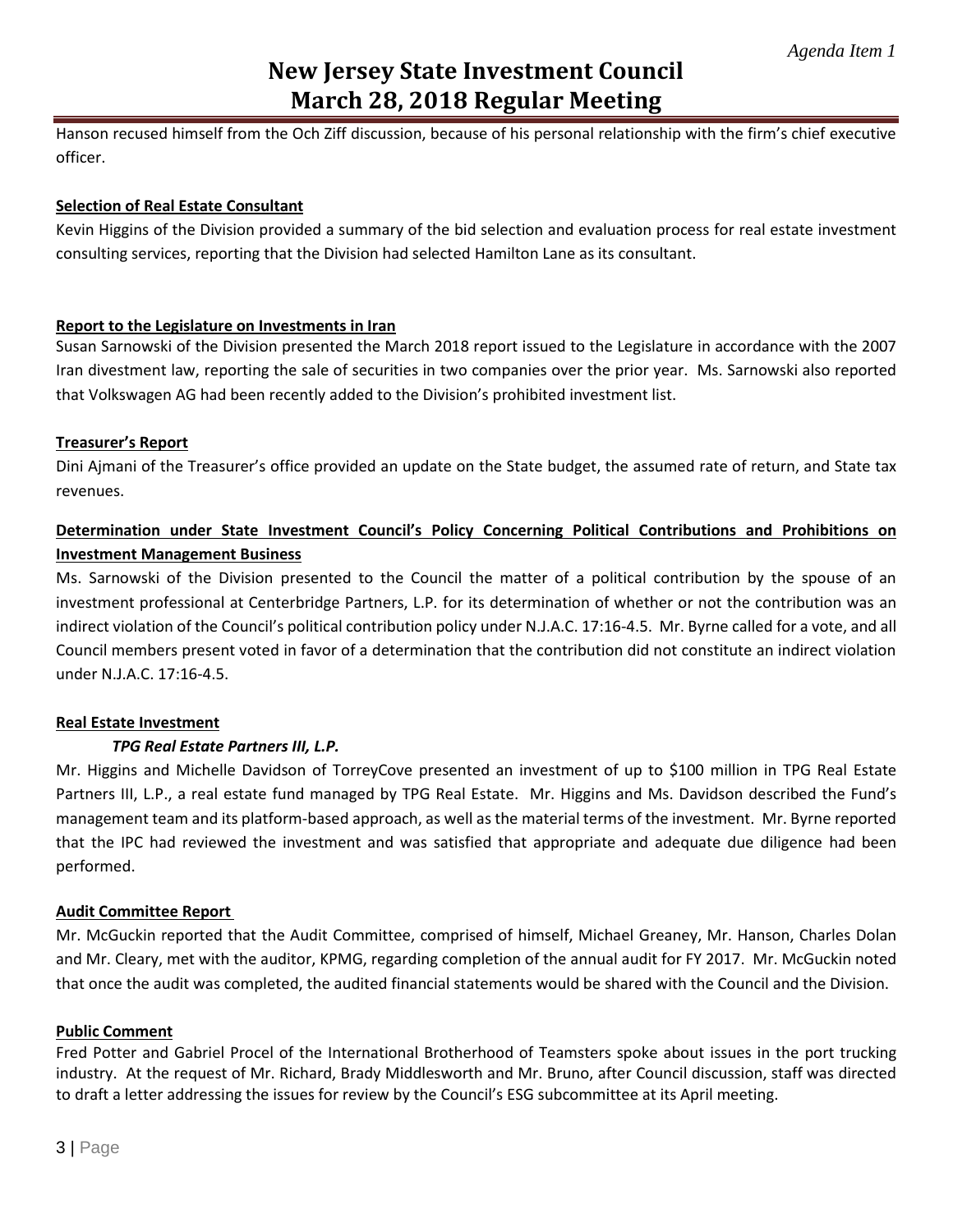Hanson recused himself from the Och Ziff discussion, because of his personal relationship with the firm's chief executive officer.

#### **Selection of Real Estate Consultant**

Kevin Higgins of the Division provided a summary of the bid selection and evaluation process for real estate investment consulting services, reporting that the Division had selected Hamilton Lane as its consultant.

#### **Report to the Legislature on Investments in Iran**

Susan Sarnowski of the Division presented the March 2018 report issued to the Legislature in accordance with the 2007 Iran divestment law, reporting the sale of securities in two companies over the prior year. Ms. Sarnowski also reported that Volkswagen AG had been recently added to the Division's prohibited investment list.

#### **Treasurer's Report**

Dini Ajmani of the Treasurer's office provided an update on the State budget, the assumed rate of return, and State tax revenues.

# **Determination under State Investment Council's Policy Concerning Political Contributions and Prohibitions on Investment Management Business**

Ms. Sarnowski of the Division presented to the Council the matter of a political contribution by the spouse of an investment professional at Centerbridge Partners, L.P. for its determination of whether or not the contribution was an indirect violation of the Council's political contribution policy under N.J.A.C. 17:16-4.5. Mr. Byrne called for a vote, and all Council members present voted in favor of a determination that the contribution did not constitute an indirect violation under N.J.A.C. 17:16-4.5.

## **Real Estate Investment**

## *TPG Real Estate Partners III, L.P.*

Mr. Higgins and Michelle Davidson of TorreyCove presented an investment of up to \$100 million in TPG Real Estate Partners III, L.P., a real estate fund managed by TPG Real Estate. Mr. Higgins and Ms. Davidson described the Fund's management team and its platform-based approach, as well as the material terms of the investment. Mr. Byrne reported that the IPC had reviewed the investment and was satisfied that appropriate and adequate due diligence had been performed.

## **Audit Committee Report**

Mr. McGuckin reported that the Audit Committee, comprised of himself, Michael Greaney, Mr. Hanson, Charles Dolan and Mr. Cleary, met with the auditor, KPMG, regarding completion of the annual audit for FY 2017. Mr. McGuckin noted that once the audit was completed, the audited financial statements would be shared with the Council and the Division.

#### **Public Comment**

Fred Potter and Gabriel Procel of the International Brotherhood of Teamsters spoke about issues in the port trucking industry. At the request of Mr. Richard, Brady Middlesworth and Mr. Bruno, after Council discussion, staff was directed to draft a letter addressing the issues for review by the Council's ESG subcommittee at its April meeting.